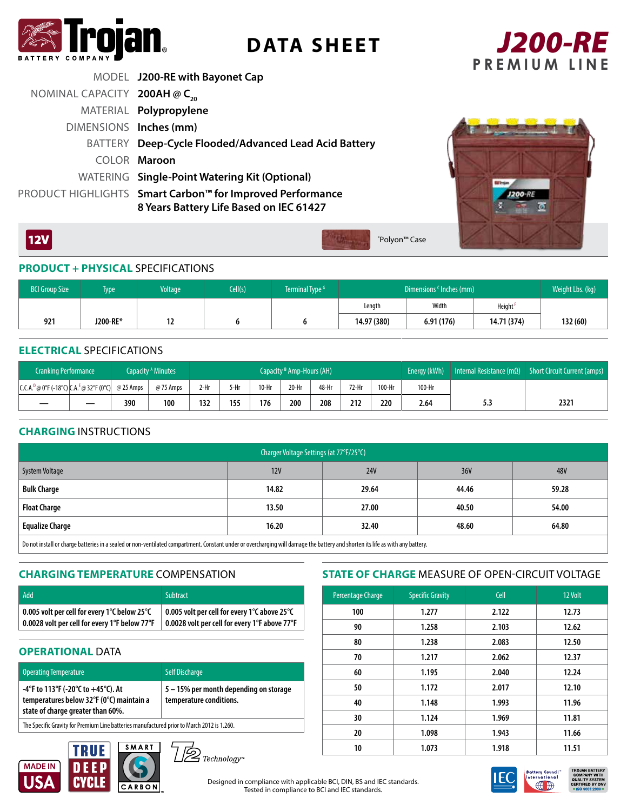

**DATA SHEET**



|                                  | MODEL J200-RE with Bayonet Cap                                                                       |
|----------------------------------|------------------------------------------------------------------------------------------------------|
| NOMINAL CAPACITY 200AH $@C_{20}$ |                                                                                                      |
|                                  | MATERIAL Polypropylene                                                                               |
| DIMENSIONS Inches (mm)           |                                                                                                      |
|                                  | BATTERY Deep-Cycle Flooded/Advanced Lead Acid Battery                                                |
|                                  | COLOR Maroon                                                                                         |
|                                  | WATERING Single-Point Watering Kit (Optional)                                                        |
|                                  | PRODUCT HIGHLIGHTS Smart Carbon™ for Improved Performance<br>8 Years Battery Life Based on IEC 61427 |



# **PRODUCT + PHYSICAL** SPECIFICATIONS

| <b>BCI Group Size</b> | Type     | <b>Voltage</b> | Cell(s) | Terminal Type <sup>G</sup> | Dimensions <sup>c</sup> Inches (mm) |           |                     | Weight Lbs. (kg) |
|-----------------------|----------|----------------|---------|----------------------------|-------------------------------------|-----------|---------------------|------------------|
|                       |          |                |         |                            | Lenath                              | Width     | Height <sup>+</sup> |                  |
| 921                   | J200-RE* | . .            |         |                            | 14.97 (380)                         | 6.91(176) | 14.71 (374)         | 132(60)          |

\* Polyon™ Case

#### **ELECTRICAL** SPECIFICATIONS

 $12V$ 

| <b>Cranking Performance</b>                                                   |     | Capacity <sup>A</sup> Minutes | Capacity <sup>B</sup> Amp-Hours (AH) |      |       |       | Energy (kWh) | Internal Resistance (m $\Omega$ ) | Short Circuit Current (amps) |        |     |      |
|-------------------------------------------------------------------------------|-----|-------------------------------|--------------------------------------|------|-------|-------|--------------|-----------------------------------|------------------------------|--------|-----|------|
| $ C.C.A.^D@0^{\circ}F(-18^{\circ}C) CA.^E@32^{\circ}F(0^{\circ}C) $ @ 25 Amps |     | @75 Amps                      | 2-Hr                                 | 5-Hr | 10-Hr | 20-Hr | 48-Hr        | 72-Hr                             | 100-Hr                       | 100-Hr |     |      |
|                                                                               | 390 | 100                           | 132                                  | 155  | 176   | 200   | 208          | 212                               | 220                          | 2.64   | 5.3 | 2321 |

# **CHARGING** INSTRUCTIONS

| Charger Voltage Settings (at 77°F/25°C)                                                                                                                                                                                        |       |            |       |       |  |  |  |
|--------------------------------------------------------------------------------------------------------------------------------------------------------------------------------------------------------------------------------|-------|------------|-------|-------|--|--|--|
| System Voltage                                                                                                                                                                                                                 | 12V   | <b>24V</b> | 36V   | 48V   |  |  |  |
| <b>Bulk Charge</b>                                                                                                                                                                                                             | 14.82 | 29.64      | 44.46 | 59.28 |  |  |  |
| <b>Float Charge</b>                                                                                                                                                                                                            | 13.50 | 27.00      | 40.50 | 54.00 |  |  |  |
| <b>Equalize Charge</b>                                                                                                                                                                                                         | 16.20 | 32.40      | 48.60 | 64.80 |  |  |  |
| $\mid$ New state the state of the control of the constraint of constraint and constraint the state of the state of the state of the state of the state of the state of the state of the state of the state of the state of the |       |            |       |       |  |  |  |

rge batteries in a sealed or non-ventilated compartment. Constant under or overcharging will damage the battery and shorten its life as with any battery.

# **CHARGING TEMPERATURE** COMPENSATION

| Add                                                                                                                                                                   | Subtract                                     |
|-----------------------------------------------------------------------------------------------------------------------------------------------------------------------|----------------------------------------------|
| $\mid$ 0.005 volt per cell for every 1°C below 25°C<br>$\mid$ 0.0028 volt per cell for every 1°F below 77°F $\mid \mid$ 0.0028 volt per cell for every 1°F above 77°F | 0.005 volt per cell for every 1°C above 25°C |

# **OPERATIONAL DATA**

| <b>Operating Temperature</b>                                                                                        | <b>Self Discharge</b>                                             |  |  |  |  |
|---------------------------------------------------------------------------------------------------------------------|-------------------------------------------------------------------|--|--|--|--|
| -4°F to 113°F (-20°C to +45°C). At<br>temperatures below 32°F (0°C) maintain a<br>state of charge greater than 60%. | 5 – 15% per month depending on storage<br>temperature conditions. |  |  |  |  |
| The Specific Gravity for Premium Line batteries manufactured prior to March 2012 is 1.260.                          |                                                                   |  |  |  |  |





# **STATE OF CHARGE** MEASURE OF OPEN-CIRCUIT VOLTAGE

| Percentage Charge | <b>Specific Gravity</b> | Cell  | 12 Volt |
|-------------------|-------------------------|-------|---------|
| 100               | 1.277                   | 2.122 | 12.73   |
| 90                | 1.258                   | 2.103 | 12.62   |
| 80                | 1.238                   | 2.083 | 12.50   |
| 70                | 1.217                   | 2.062 | 12.37   |
| 60                | 1.195                   | 2.040 | 12.24   |
| 50                | 1.172                   | 2.017 | 12.10   |
| 40                | 1.148                   | 1.993 | 11.96   |
| 30                | 1.124                   | 1.969 | 11.81   |
| 20                | 1.098                   | 1.943 | 11.66   |
| 10                | 1.073                   | 1.918 | 11.51   |